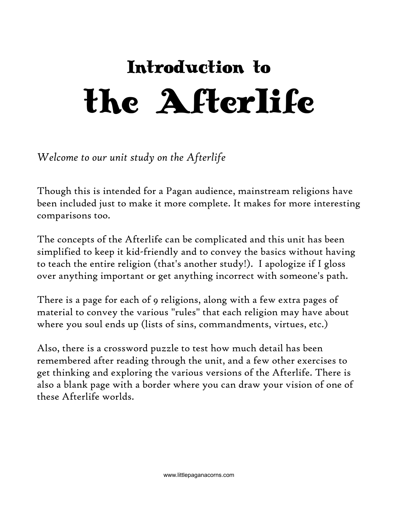## Introduction to the Afterlife

*Welcome to our unit study on the Afterlife*

Though this is intended for a Pagan audience, mainstream religions have been included just to make it more complete. It makes for more interesting comparisons too.

The concepts of the Afterlife can be complicated and this unit has been simplified to keep it kid-friendly and to convey the basics without having to teach the entire religion (that's another study!). I apologize if I gloss over anything important or get anything incorrect with someone's path.

There is a page for each of 9 religions, along with a few extra pages of material to convey the various "rules" that each religion may have about where you soul ends up (lists of sins, commandments, virtues, etc.)

Also, there is a crossword puzzle to test how much detail has been remembered after reading through the unit, and a few other exercises to get thinking and exploring the various versions of the Afterlife. There is also a blank page with a border where you can draw your vision of one of these Afterlife worlds.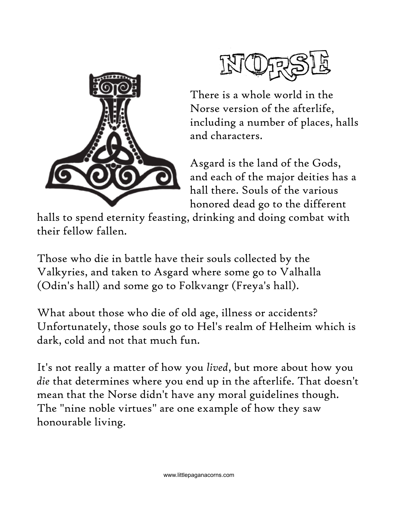



There is a whole world in the Norse version of the afterlife, including a number of places, halls and characters.

Asgard is the land of the Gods, and each of the major deities has a hall there. Souls of the various honored dead go to the different

halls to spend eternity feasting, drinking and doing combat with their fellow fallen.

Those who die in battle have their souls collected by the Valkyries, and taken to Asgard where some go to Valhalla (Odin's hall) and some go to Folkvangr (Freya's hall).

What about those who die of old age, illness or accidents? Unfortunately, those souls go to Hel's realm of Helheim which is dark, cold and not that much fun.

It's not really a matter of how you *lived*, but more about how you *die* that determines where you end up in the afterlife. That doesn't mean that the Norse didn't have any moral guidelines though. The "nine noble virtues" are one example of how they saw honourable living.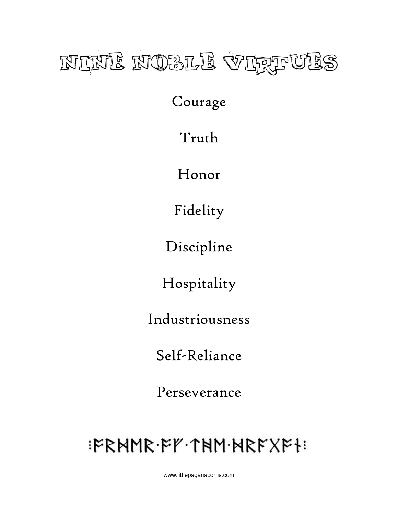### Nine Noble Virtues

Courage

Truth

Honor

Fidelity

Discipline

Hospitality

Industriousness

Self-Reliance

Perseverance

### FRHMR·FF·THM·HRFXF+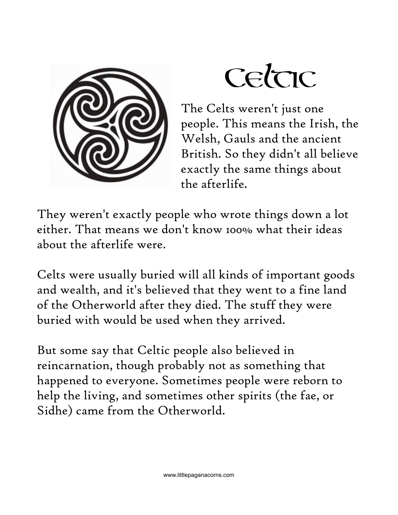

Celtic

The Celts weren't just one people. This means the Irish, the Welsh, Gauls and the ancient British. So they didn't all believe exactly the same things about the afterlife.

They weren't exactly people who wrote things down a lot either. That means we don't know 100% what their ideas about the afterlife were.

Celts were usually buried will all kinds of important goods and wealth, and it's believed that they went to a fine land of the Otherworld after they died. The stuff they were buried with would be used when they arrived.

But some say that Celtic people also believed in reincarnation, though probably not as something that happened to everyone. Sometimes people were reborn to help the living, and sometimes other spirits (the fae, or Sidhe) came from the Otherworld.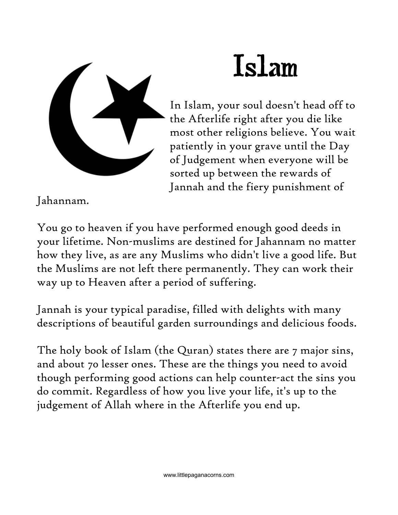

# Islam

In Islam, your soul doesn't head off to the Afterlife right after you die like most other religions believe. You wait patiently in your grave until the Day of Judgement when everyone will be sorted up between the rewards of Jannah and the fiery punishment of

Jahannam.

You go to heaven if you have performed enough good deeds in your lifetime. Non-muslims are destined for Jahannam no matter how they live, as are any Muslims who didn't live a good life. But the Muslims are not left there permanently. They can work their way up to Heaven after a period of suffering.

Jannah is your typical paradise, filled with delights with many descriptions of beautiful garden surroundings and delicious foods.

The holy book of Islam (the Quran) states there are 7 major sins, and about 70 lesser ones. These are the things you need to avoid though performing good actions can help counter-act the sins you do commit. Regardless of how you live your life, it's up to the judgement of Allah where in the Afterlife you end up.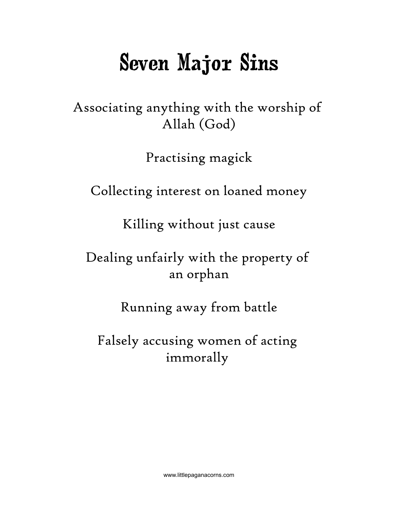## Seven Major Sins

Associating anything with the worship of Allah (God)

Practising magick

Collecting interest on loaned money

Killing without just cause

Dealing unfairly with the property of an orphan

Running away from battle

Falsely accusing women of acting immorally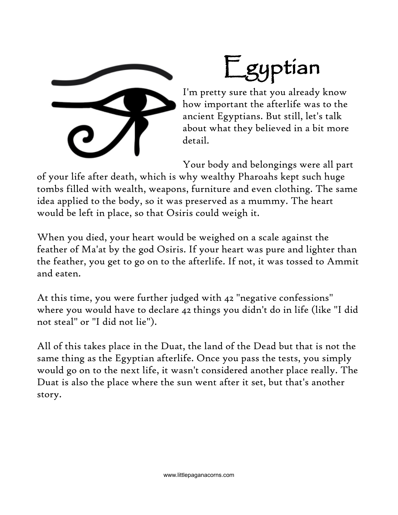Egyptian

I'm pretty sure that you already know how important the afterlife was to the ancient Egyptians. But still, let's talk about what they believed in a bit more detail.

Your body and belongings were all part

of your life after death, which is why wealthy Pharoahs kept such huge tombs filled with wealth, weapons, furniture and even clothing. The same idea applied to the body, so it was preserved as a mummy. The heart would be left in place, so that Osiris could weigh it.

When you died, your heart would be weighed on a scale against the feather of Ma'at by the god Osiris. If your heart was pure and lighter than the feather, you get to go on to the afterlife. If not, it was tossed to Ammit and eaten.

At this time, you were further judged with 42 "negative confessions" where you would have to declare 42 things you didn't do in life (like "I did not steal" or "I did not lie").

All of this takes place in the Duat, the land of the Dead but that is not the same thing as the Egyptian afterlife. Once you pass the tests, you simply would go on to the next life, it wasn't considered another place really. The Duat is also the place where the sun went after it set, but that's another story.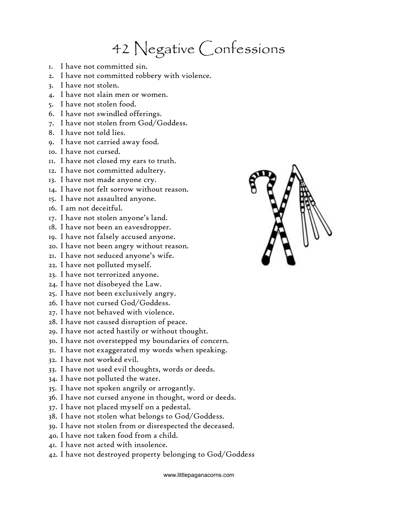### 42 Negative Confessions

- 1. I have not committed sin.
- 2. I have not committed robbery with violence.
- 3. I have not stolen.
- 4. I have not slain men or women.
- 5. I have not stolen food.
- 6. I have not swindled offerings.
- 7. I have not stolen from God/Goddess.
- 8. I have not told lies.
- 9. I have not carried away food.
- 10. I have not cursed.
- 11. I have not closed my ears to truth.
- 12. I have not committed adultery.
- 13. I have not made anyone cry.
- 14. I have not felt sorrow without reason.
- 15. I have not assaulted anyone.
- 16. I am not deceitful.
- 17. I have not stolen anyone's land.
- 18. I have not been an eavesdropper.
- 19. I have not falsely accused anyone.
- 20. I have not been angry without reason.
- 21. I have not seduced anyone's wife.
- 22. I have not polluted myself.
- 23. I have not terrorized anyone.
- 24. I have not disobeyed the Law.
- 25. I have not been exclusively angry.
- 26. I have not cursed God/Goddess.
- 27. I have not behaved with violence.
- 28. I have not caused disruption of peace.
- 29. I have not acted hastily or without thought.
- 30. I have not overstepped my boundaries of concern.
- 31. I have not exaggerated my words when speaking.
- 32. I have not worked evil.
- 33. I have not used evil thoughts, words or deeds.
- 34. I have not polluted the water.
- 35. I have not spoken angrily or arrogantly.
- 36. I have not cursed anyone in thought, word or deeds.
- 37. I have not placed myself on a pedestal.
- 38. I have not stolen what belongs to God/Goddess.
- 39. I have not stolen from or disrespected the deceased.
- 40. I have not taken food from a child.
- 41. I have not acted with insolence.
- 42. I have not destroyed property belonging to God/Goddess

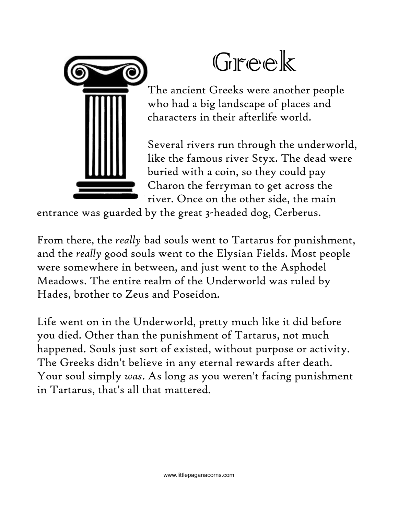

## $G$ reek

The ancient Greeks were another people who had a big landscape of places and characters in their afterlife world.

Several rivers run through the underworld, like the famous river Styx. The dead were buried with a coin, so they could pay Charon the ferryman to get across the river. Once on the other side, the main

entrance was guarded by the great 3-headed dog, Cerberus.

From there, the *really* bad souls went to Tartarus for punishment, and the *really* good souls went to the Elysian Fields. Most people were somewhere in between, and just went to the Asphodel Meadows. The entire realm of the Underworld was ruled by Hades, brother to Zeus and Poseidon.

Life went on in the Underworld, pretty much like it did before you died. Other than the punishment of Tartarus, not much happened. Souls just sort of existed, without purpose or activity. The Greeks didn't believe in any eternal rewards after death. Your soul simply *was*. As long as you weren't facing punishment in Tartarus, that's all that mattered.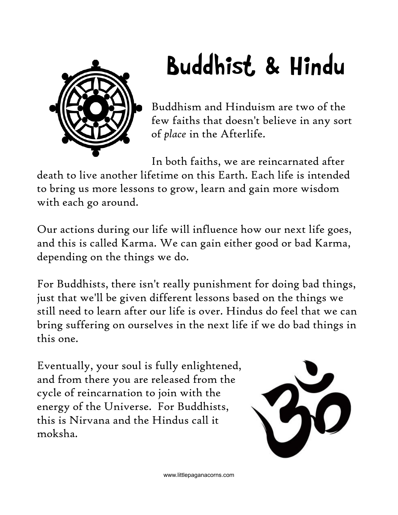# Buddhist & Hindu



Buddhism and Hinduism are two of the few faiths that doesn't believe in any sort of *place* in the Afterlife.

In both faiths, we are reincarnated after death to live another lifetime on this Earth. Each life is intended to bring us more lessons to grow, learn and gain more wisdom with each go around.

Our actions during our life will influence how our next life goes, and this is called Karma. We can gain either good or bad Karma, depending on the things we do.

For Buddhists, there isn't really punishment for doing bad things, just that we'll be given different lessons based on the things we still need to learn after our life is over. Hindus do feel that we can bring suffering on ourselves in the next life if we do bad things in this one.

Eventually, your soul is fully enlightened, and from there you are released from the cycle of reincarnation to join with the energy of the Universe. For Buddhists, this is Nirvana and the Hindus call it moksha.

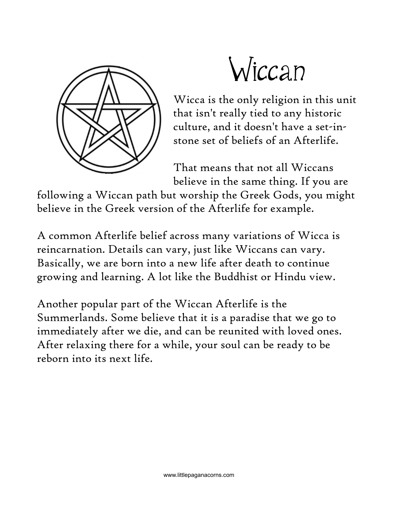

Wiccan

Wicca is the only religion in this unit that isn't really tied to any historic culture, and it doesn't have a set-instone set of beliefs of an Afterlife.

That means that not all Wiccans believe in the same thing. If you are

following a Wiccan path but worship the Greek Gods, you might believe in the Greek version of the Afterlife for example.

A common Afterlife belief across many variations of Wicca is reincarnation. Details can vary, just like Wiccans can vary. Basically, we are born into a new life after death to continue growing and learning. A lot like the Buddhist or Hindu view.

Another popular part of the Wiccan Afterlife is the Summerlands. Some believe that it is a paradise that we go to immediately after we die, and can be reunited with loved ones. After relaxing there for a while, your soul can be ready to be reborn into its next life.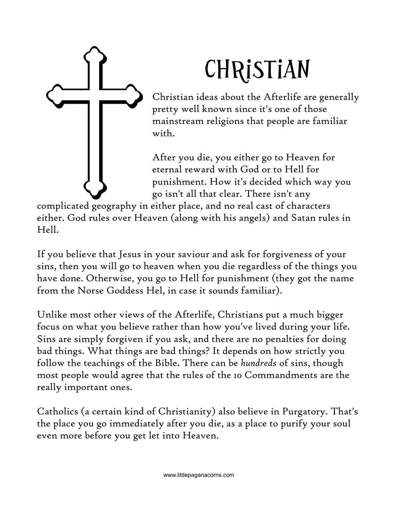

# CHRISTIAN

Christian ideas about the Afterlife are generally pretty well known since it's one of those mainstream religions that people are familiar with.

After you die, you either go to Heaven for eternal reward with God or to Hell for punishment. How it's decided which way you go isn't all that clear. There isn't any

complicated geography in either place, and no real cast of characters either. God rules over Heaven (along with his angels) and Satan rules in  $He$ ll.

If you believe that Jesus in your saviour and ask for forgiveness of your sins, then you will go to heaven when you die regardless of the things you have done. Otherwise, you go to Hell for punishment (they got the name from the Norse Goddess Hel, in case it sounds familiar).

Unlike most other views of the Afterlife, Christians put a much bigger focus on what you believe rather than how you've lived during your life. Sins are simply forgiven if you ask, and there are no penalties for doing bad things. What things are bad things? It depends on how strictly you follow the teachings of the Bible. There can be *hundreds* of sins, though most people would agree that the rules of the 10 Commandments are the really important ones.

Catholics (a certain kind of Christianity) also believe in Purgatory. That's the place you go immediately after you die, as a place to purify your soul even more before you get let into Heaven.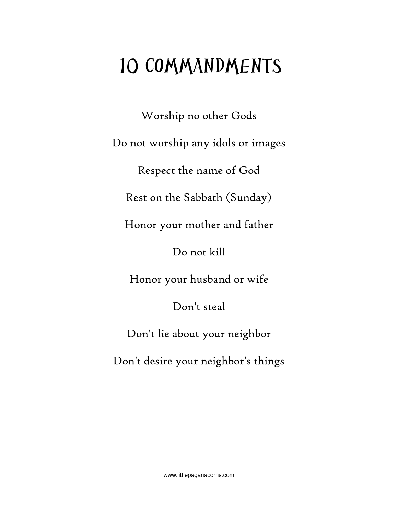### 10 commandments

Worship no other Gods

Do not worship any idols or images

Respect the name of God

Rest on the Sabbath (Sunday)

Honor your mother and father

Do not kill

Honor your husband or wife

Don't steal

Don't lie about your neighbor

Don't desire your neighbor's things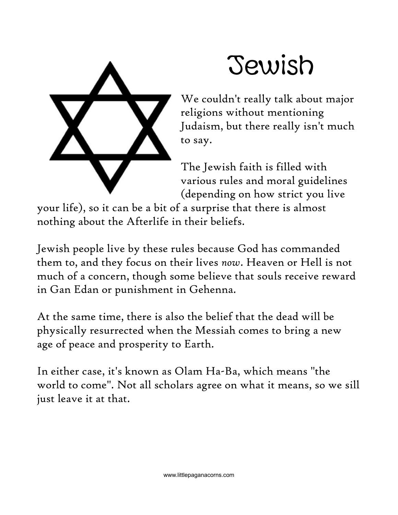

## Jewish

We couldn't really talk about major religions without mentioning Judaism, but there really isn't much to say.

The Jewish faith is filled with various rules and moral guidelines (depending on how strict you live

your life), so it can be a bit of a surprise that there is almost nothing about the Afterlife in their beliefs.

Jewish people live by these rules because God has commanded them to, and they focus on their lives *now*. Heaven or Hell is not much of a concern, though some believe that souls receive reward in Gan Edan or punishment in Gehenna.

At the same time, there is also the belief that the dead will be physically resurrected when the Messiah comes to bring a new age of peace and prosperity to Earth.

In either case, it's known as Olam Ha-Ba, which means "the world to come". Not all scholars agree on what it means, so we sill just leave it at that.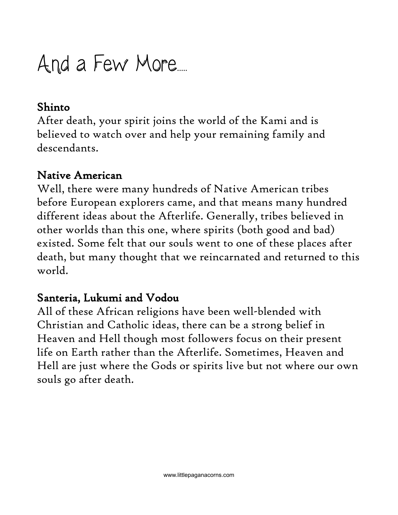## And a Few More.....

#### Shinto

After death, your spirit joins the world of the Kami and is believed to watch over and help your remaining family and descendants.

#### Native American

Well, there were many hundreds of Native American tribes before European explorers came, and that means many hundred different ideas about the Afterlife. Generally, tribes believed in other worlds than this one, where spirits (both good and bad) existed. Some felt that our souls went to one of these places after death, but many thought that we reincarnated and returned to this world.

#### Santeria, Lukumi and Vodou

All of these African religions have been well-blended with Christian and Catholic ideas, there can be a strong belief in Heaven and Hell though most followers focus on their present life on Earth rather than the Afterlife. Sometimes, Heaven and Hell are just where the Gods or spirits live but not where our own souls go after death.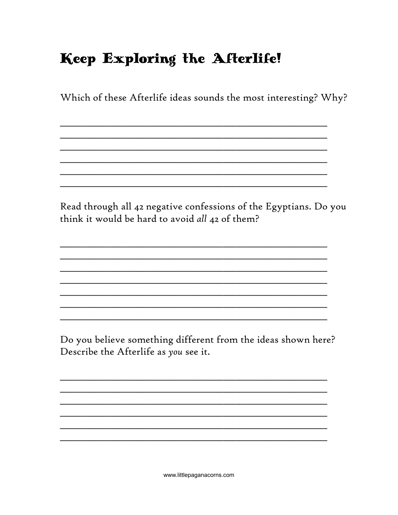### Keep Exploring the Afterlife!

Which of these Afterlife ideas sounds the most interesting? Why?

Read through all 42 negative confessions of the Egyptians. Do you think it would be hard to avoid all 42 of them?

Do you believe something different from the ideas shown here? Describe the Afterlife as you see it.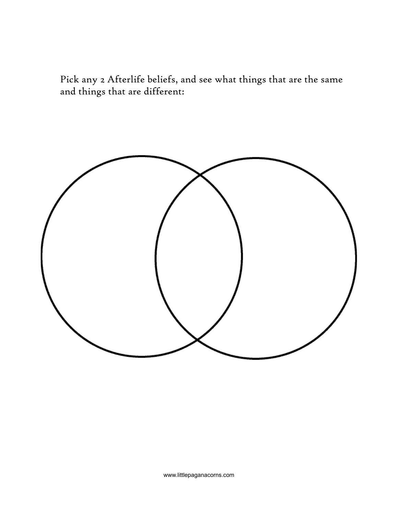Pick any 2 Afterlife beliefs, and see what things that are the same and things that are different:

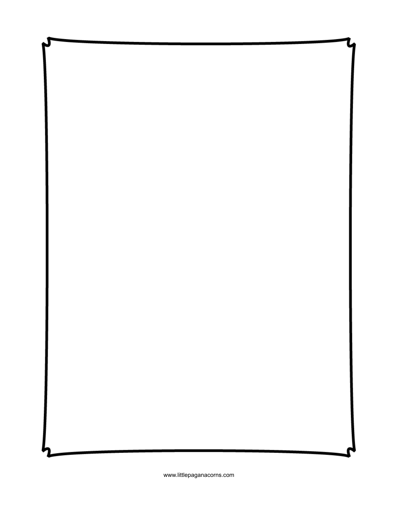